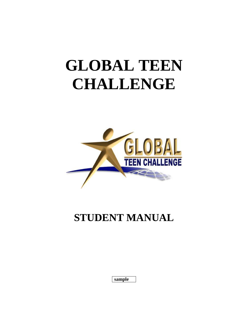# **GLOBAL TEEN CHALLENGE**



## **STUDENT MANUAL**

| н<br>н<br>н<br>ш |  |
|------------------|--|
|------------------|--|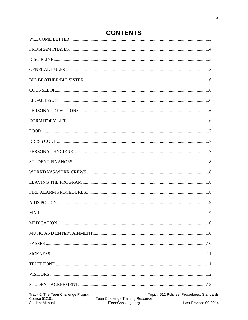| Track 5: The Teen Challenge Program<br><b>Course 512.01</b><br><b>Student Manual</b> | Teen Challenge Training Resource<br>iTeenChallenge.org | Topic: 512 Policies, Procedures, Standards<br>Last Revised 09-2014 |
|--------------------------------------------------------------------------------------|--------------------------------------------------------|--------------------------------------------------------------------|
|                                                                                      |                                                        |                                                                    |

 $\lceil$ 

### **CONTENTS**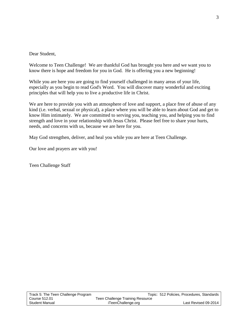Dear Student,

Welcome to Teen Challenge! We are thankful God has brought you here and we want you to know there is hope and freedom for you in God. He is offering you a new beginning!

While you are here you are going to find yourself challenged in many areas of your life, especially as you begin to read God's Word. You will discover many wonderful and exciting principles that will help you to live a productive life in Christ.

We are here to provide you with an atmosphere of love and support, a place free of abuse of any kind (i.e. verbal, sexual or physical), a place where you will be able to learn about God and get to know Him intimately. We are committed to serving you, teaching you, and helping you to find strength and love in your relationship with Jesus Christ. Please feel free to share your hurts, needs, and concerns with us, because we are here for you.

May God strengthen, deliver, and heal you while you are here at Teen Challenge.

Our love and prayers are with you!

Teen Challenge Staff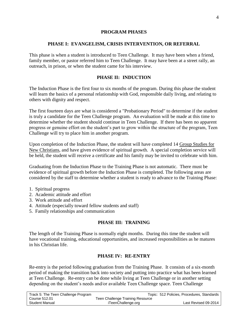#### **PROGRAM PHASES**

#### **PHASE I: EVANGELISM, CRISIS INTERVENTION, OR REFERRAL**

This phase is when a student is introduced to Teen Challenge. It may have been when a friend, family member, or pastor referred him to Teen Challenge. It may have been at a street rally, an outreach, in prison, or when the student came for his interview.

#### **PHASE II: INDUCTION**

The Induction Phase is the first four to six months of the program. During this phase the student will learn the basics of a personal relationship with God, responsible daily living, and relating to others with dignity and respect.

The first fourteen days are what is considered a "Probationary Period" to determine if the student is truly a candidate for the Teen Challenge program. An evaluation will be made at this time to determine whether the student should continue in Teen Challenge. If there has been no apparent progress or genuine effort on the student's part to grow within the structure of the program, Teen Challenge will try to place him in another program.

Upon completion of the Induction Phase, the student will have completed 14 Group Studies for New Christians, and have given evidence of spiritual growth. A special completion service will be held, the student will receive a certificate and his family may be invited to celebrate with him.

Graduating from the Induction Phase to the Training Phase is not automatic. There must be evidence of spiritual growth before the Induction Phase is completed. The following areas are considered by the staff to determine whether a student is ready to advance to the Training Phase:

- 1. Spiritual progress
- 2. Academic attitude and effort
- 3. Work attitude and effort
- 4. Attitude (especially toward fellow students and staff)
- 5. Family relationships and communication

#### **PHASE III: TRAINING**

The length of the Training Phase is normally eight months. During this time the student will have vocational training, educational opportunities, and increased responsibilities as he matures in his Christian life.

#### **PHASE IV: RE-ENTRY**

Re-entry is the period following graduation from the Training Phase. It consists of a six-month period of making the transition back into society and putting into practice what has been learned at Teen Challenge. Re-entry can be done while living at Teen Challenge or in another setting depending on the student's needs and/or available Teen Challenge space. Teen Challenge

| Track 5: The Teen Challenge Program |                                  | Topic: 512 Policies, Procedures, Standards |
|-------------------------------------|----------------------------------|--------------------------------------------|
| Course 512.01                       | Teen Challenge Training Resource |                                            |
| Student Manual                      | iTeenChallenge.org               | Last Revised 09-2014                       |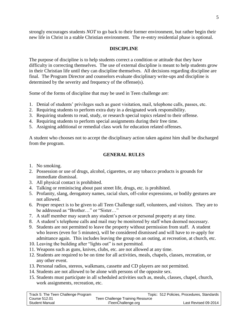strongly encourages students *NOT* to go back to their former environment, but rather begin their new life in Christ in a stable Christian environment. The re-entry residential phase is optional.

#### **DISCIPLINE**

The purpose of discipline is to help students correct a condition or attitude that they have difficulty in correcting themselves. The use of external discipline is meant to help students grow in their Christian life until they can discipline themselves. All decisions regarding discipline are final. The Program Director and counselors evaluate disciplinary write-ups and discipline is determined by the severity and frequency of the offense(s).

Some of the forms of discipline that may be used in Teen challenge are:

- 1. Denial of students' privileges such as guest visitation, mail, telephone calls, passes, etc.
- 2. Requiring students to perform extra duty in a designated work responsibility.
- 3. Requiring students to read, study, or research special topics related to their offense.
- 4. Requiring students to perform special assignments during their free time.
- 5. Assigning additional or remedial class work for education related offenses.

A student who chooses not to accept the disciplinary action taken against him shall be discharged from the program.

#### **GENERAL RULES**

- 1. No smoking.
- 2. Possession or use of drugs, alcohol, cigarettes, or any tobacco products is grounds for immediate dismissal.
- 3. All physical contact is prohibited.
- 4. Talking or reminiscing about past street life, drugs, etc. is prohibited.
- 5. Profanity, slang, derogatory names, racial slurs, off-color expressions, or bodily gestures are not allowed.
- 6. Proper respect is to be given to all Teen Challenge staff, volunteers, and visitors. They are to be addressed as "Brother…" or "Sister…"
- 7. A staff member may search any student's person or personal property at any time.
- 8. A student's telephone calls and mail may be monitored by staff when deemed necessary.
- 9. Students are not permitted to leave the property without permission from staff. A student who leaves (even for 5 minutes), will be considered dismissed and will have to re-apply for admittance again. This includes leaving the group on an outing, at recreation, at church, etc.
- 10. Leaving the building after "lights out" is not permitted.
- 11. Weapons such as guns, knives, clubs, etc. are not allowed at any time.
- 12. Students are required to be on time for all activities, meals, chapels, classes, recreation, or any other event.
- 13. Personal radios, stereos, walkmans, cassette and CD players are not permitted.
- 14. Students are not allowed to be alone with persons of the opposite sex.
- 15. Students must participate in all scheduled activities such as, meals, classes, chapel, church, work assignments, recreation, etc.

| Track 5: The Teen Challenge Program |                                  | Topic: 512 Policies, Procedures, Standards |
|-------------------------------------|----------------------------------|--------------------------------------------|
| Course 512.01                       | Teen Challenge Training Resource |                                            |
| Student Manual                      | iTeenChallenge.org               | Last Revised 09-2014                       |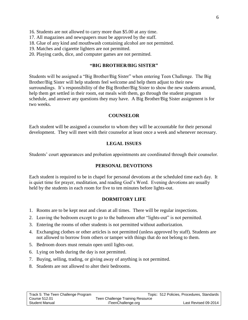- 16. Students are not allowed to carry more than \$5.00 at any time.
- 17. All magazines and newspapers must be approved by the staff.
- 18. Glue of any kind and mouthwash containing alcohol are not permitted.
- 19. Matches and cigarette lighters are not permitted.
- 20. Playing cards, dice, and computer games are not permitted.

#### **"BIG BROTHER/BIG SISTER"**

Students will be assigned a "Big Brother/Big Sister" when entering Teen Challenge. The Big Brother/Big Sister will help students feel welcome and help them adjust to their new surroundings. It's responsibility of the Big Brother/Big Sister to show the new students around, help them get settled in their room, eat meals with them, go through the student program schedule, and answer any questions they may have. A Big Brother/Big Sister assignment is for two weeks.

#### **COUNSELOR**

Each student will be assigned a counselor to whom they will be accountable for their personal development. They will meet with their counselor at least once a week and whenever necessary.

#### **LEGAL ISSUES**

Students' court appearances and probation appointments are coordinated through their counselor.

#### **PERSONAL DEVOTIONS**

Each student is required to be in chapel for personal devotions at the scheduled time each day. It is quiet time for prayer, meditation, and reading God's Word. Evening devotions are usually held by the students in each room for five to ten minutes before lights-out.

#### **DORMITORY LIFE**

- 1. Rooms are to be kept neat and clean at all times. There will be regular inspections.
- 2. Leaving the bedroom except to go to the bathroom after "lights-out" is not permitted.
- 3. Entering the rooms of other students is not permitted without authorization.
- 4. Exchanging clothes or other articles is not permitted (unless approved by staff). Students are not allowed to borrow from others or tamper with things that do not belong to them.
- 5. Bedroom doors must remain open until lights-out.
- 6. Lying on beds during the day is not permitted.
- 7. Buying, selling, trading, or giving away of anything is not permitted.
- 8. Students are not allowed to alter their bedrooms.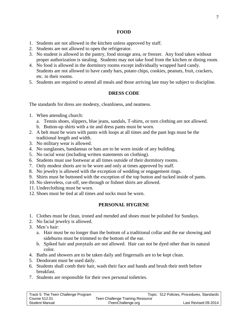#### **FOOD**

- 1. Students are not allowed in the kitchen unless approved by staff.
- 2. Students are not allowed to open the refrigerator.
- 3. No student is allowed in the pantry, food storage area, or freezer. Any food taken without proper authorization is stealing. Students may not take food from the kitchen or dining room.
- 4. No food is allowed in the dormitory rooms except individually wrapped hard candy. Students are not allowed to have candy bars, potato chips, cookies, peanuts, fruit, crackers, etc. in their rooms.
- 5. Students are required to attend all meals and those arriving late may be subject to discipline.

#### **DRESS CODE**

The standards for dress are modesty, cleanliness, and neatness.

- 1. When attending church:
	- a. Tennis shoes, slippers, blue jeans, sandals, T-shirts, or torn clothing are not allowed.
	- b. Button-up shirts with a tie and dress pants must be worn.
- 2. A belt must be worn with pants with loops at all times and the pant legs must be the traditional length and width.
- 3. No military wear is allowed.
- 4. No sunglasses, bandannas or hats are to be worn inside of any building.
- 5. No racial wear (including written statements on clothing).
- 6. Students must use footwear at all times outside of their dormitory rooms.
- 7. Only modest shorts are to be worn and only at times approved by staff.
- 8. No jewelry is allowed with the exception of wedding or engagement rings.
- 9. Shirts must be buttoned with the exception of the top button and tucked inside of pants.
- 10. No sleeveless, cut-off, see-through or fishnet shirts are allowed.
- 11. Underclothing must be worn.
- 12. Shoes must be tied at all times and socks must be worn.

#### **PERSONAL HYGIENE**

- 1. Clothes must be clean, ironed and mended and shoes must be polished for Sundays.
- 2. No facial jewelry is allowed.
- 3. Men's hair:
	- a. Hair must be no longer than the bottom of a traditional collar and the ear showing and sideburns must be trimmed to the bottom of the ear.
	- b. Spiked hair and ponytails are not allowed. Hair can not be dyed other than its natural color.
- 4. Baths and showers are to be taken daily and fingernails are to be kept clean.
- 5. Deodorant must be used daily.
- 6. Students shall comb their hair, wash their face and hands and brush their teeth before breakfast.
- 7. Students are responsible for their own personal toiletries.

| Track 5: The Teen Challenge Program |                                  | Topic: 512 Policies, Procedures, Standards |
|-------------------------------------|----------------------------------|--------------------------------------------|
| Course 512.01                       | Teen Challenge Training Resource |                                            |
| Student Manual                      | iTeenChallenge.org               | Last Revised 09-2014                       |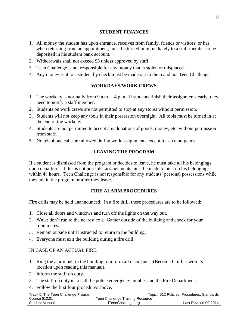- 1. All money the student has upon entrance, receives from family, friends or visitors, or has when returning from an appointment, must be turned in immediately to a staff member to be deposited in his student bank account.
- 2. Withdrawals shall not exceed \$5 unless approved by staff.
- 3. Teen Challenge is not responsible for any money that is stolen or misplaced.
- 4. Any money sent to a student by check must be made out to them and not Teen Challenge.

#### **WORKDAYS/WORK CREWS**

- 1. The workday is normally from 9 a.m.  $-4$  p.m. If students finish their assignments early, they need to notify a staff member.
- 2. Students on work crews are not permitted to stop at any stores without permission.
- 3. Students will not keep any tools in their possession overnight. All tools must be turned in at the end of the workday.
- 4. Students are not permitted to accept any donations of goods, money, etc. without permission from staff.
- 5. No telephone calls are allowed during work assignments except for an emergency.

#### **LEAVING THE PROGRAM**

If a student is dismissed from the program or decides to leave, he must take all his belongings upon departure. If this is not possible, arrangements must be made to pick up his belongings within 48 hours. Teen Challenge is not responsible for any students' personal possessions while they are in the program or after they leave.

#### **FIRE ALARM PROCEDURES**

Fire drills may be held unannounced. In a fire drill, these procedures are to be followed:

- 1. Close all doors and windows and turn off the lights on the way out.
- 2. Walk; don't run to the nearest exit. Gather outside of the building and check for your roommates.
- 3. Remain outside until instructed to return to the building.
- 4. Everyone must exit the building during a fire drill.

#### IN CASE OF AN ACTUAL FIRE:

- 1. Ring the alarm bell in the building to inform all occupants. (Become familiar with its location upon reading this manual).
- 2. Inform the staff on duty.
- 3. The staff on duty is to call the police emergency number and the Fire Department.
- 4. Follow the first four procedures above.

| Track 5: The Teen Challenge Program |                                  | Topic: 512 Policies, Procedures, Standards |
|-------------------------------------|----------------------------------|--------------------------------------------|
| Course 512.01                       | Teen Challenge Training Resource |                                            |
| <b>Student Manual</b>               | iTeenChallenge.org               | Last Revised 09-2014                       |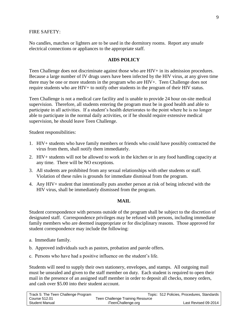#### FIRE SAFETY:

No candles, matches or lighters are to be used in the dormitory rooms. Report any unsafe electrical connections or appliances to the appropriate staff.

#### **AIDS POLICY**

Teen Challenge does not discriminate against those who are HIV+ in its admission procedures. Because a large number of IV drugs users have been infected by the HIV virus, at any given time there may be one or more students in the program who are HIV+. Teen Challenge does not require students who are HIV+ to notify other students in the program of their HIV status.

Teen Challenge is not a medical care facility and is unable to provide 24 hour on-site medical supervision. Therefore, all students entering the program must be in good health and able to participate in all activities. If a student's health deteriorates to the point where he is no longer able to participate in the normal daily activities, or if he should require extensive medical supervision, he should leave Teen Challenge.

Student responsibilities:

- 1. HIV+ students who have family members or friends who could have possibly contracted the virus from them, shall notify them immediately.
- 2. HIV+ students will not be allowed to work in the kitchen or in any food handling capacity at any time. There will be NO exceptions.
- 3. All students are prohibited from any sexual relationships with other students or staff. Violation of these rules is grounds for immediate dismissal from the program.
- 4. Any HIV+ student that intentionally puts another person at risk of being infected with the HIV virus, shall be immediately dismissed from the program.

#### **MAIL**

Student correspondence with persons outside of the program shall be subject to the discretion of designated staff. Correspondence privileges may be refused with persons, including immediate family members who are deemed inappropriate or for disciplinary reasons. Those approved for student correspondence may include the following:

- a. Immediate family.
- b. Approved individuals such as pastors, probation and parole offers.
- c. Persons who have had a positive influence on the student's life.

Students will need to supply their own stationery, envelopes, and stamps. All outgoing mail must be unsealed and given to the staff member on duty. Each student is required to open their mail in the presence of an assigned staff member in order to deposit all checks, money orders, and cash over \$5.00 into their student account.

| Track 5: The Teen Challenge Program |                                  | Topic: 512 Policies, Procedures, Standards |  |
|-------------------------------------|----------------------------------|--------------------------------------------|--|
| Course 512.01                       | Teen Challenge Training Resource |                                            |  |
| Student Manual                      | iTeenChallenge.org               | Last Revised 09-2014                       |  |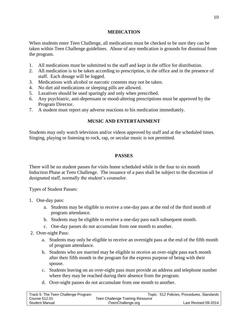#### **MEDICATION**

When students enter Teen Challenge, all medications must be checked to be sure they can be taken within Teen Challenge guidelines. Abuse of any medication is grounds for dismissal from the program.

- 1. All medications must be submitted to the staff and kept in the office for distribution.
- 2. All medication is to be taken according to prescription, in the office and in the presence of staff. Each dosage will be logged.
- 3. Medications with alcohol or narcotic contents may not be taken.
- 4. No diet aid medications or sleeping pills are allowed.
- 5. Laxatives should be used sparingly and only when prescribed.
- 6. Any psychiatric, anti-depressant or mood-altering prescriptions must be approved by the Program Director.
- 7. A student must report any adverse reactions to his medication immediately.

#### **MUSIC AND ENTERTAINMENT**

Students may only watch television and/or videos approved by staff and at the scheduled times. Singing, playing or listening to rock, rap, or secular music is not permitted.

#### **PASSES**

There will be no student passes for visits home scheduled while in the four to six month Induction Phase at Teen Challenge.The issuance of a pass shall be subject to the discretion of designated staff, normally the student's counselor.

Types of Student Passes:

- 1. One-day pass:
	- a. Students may be eligible to receive a one-day pass at the end of the third month of program attendance.
	- b. Students may be eligible to receive a one-day pass each subsequent month.
	- c. One-day passes do not accumulate from one month to another.
- 2. Over-night Pass:
	- a. Students may only be eligible to receive an overnight pass at the end of the fifth month of program attendance.
	- b. Students who are married may be eligible to receive an over-night pass each month after their fifth month in the program for the express purpose of being with their spouse.
	- c. Students leaving on an over-night pass must provide an address and telephone number where they may be reached during their absence from the program.
	- d. Over-night passes do not accumulate from one month to another.

| Track 5: The Teen Challenge Program |                                  | Topic: 512 Policies, Procedures, Standards |
|-------------------------------------|----------------------------------|--------------------------------------------|
| Course 512.01                       | Teen Challenge Training Resource |                                            |
| Student Manual                      | iTeenChallenge.org               | Last Revised 09-2014                       |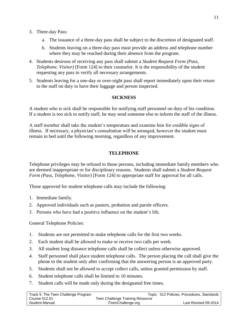- 3. Three-day Pass:
	- a. The issuance of a three-day pass shall be subject to the discretion of designated staff.
	- b. Students leaving on a three-day pass must provide an address and telephone number where they may be reached during their absence from the program.
- 4. Students desirous of receiving any pass shall submit a *Student Request Form (Pass, Telephone, Visitor)* [Form 124] to their counselor. It is the responsibility of the student requesting any pass to verify all necessary arrangements.
- 5. Students leaving for a one-day or over-night pass shall report immediately upon their return to the staff on duty to have their luggage and person inspected.

#### **SICKNESS**

A student who is sick shall be responsible for notifying staff personnel on duty of his condition. If a student is too sick to notify staff, he may send someone else to inform the staff of the illness.

A staff member shall take the student's temperature and examine him for credible signs of illness. If necessary, a physician's consultation will be arranged, however the student must remain in bed until the following morning, regardless of any improvement.

#### **TELEPHONE**

Telephone privileges may be refused to those persons, including immediate family members who are deemed inappropriate or for disciplinary reasons. Students shall submit a *Student Request Form (Pass, Telephone, Visitor)* [Form 124] to appropriate staff for approval for all calls.

Those approved for student telephone calls may include the following:

- 1. Immediate family.
- 2. Approved individuals such as pastors, probation and parole officers.
- 3. Persons who have had a positive influence on the student's life.

General Telephone Policies:

- 1. Students are not permitted to make telephone calls for the first two weeks.
- 2. Each student shall be allowed to make or receive two calls per week.
- 3. All student long distance telephone calls shall be collect unless otherwise approved.
- 4. Staff personnel shall place student telephone calls. The person placing the call shall give the phone to the student only after confirming that the answering person is an approved party.
- 5. Students shall not be allowed to accept collect calls, unless granted permission by staff.
- 6. Student telephone calls shall be limited to 10 minutes.
- 7. Student calls will be made only during the designated free times.

| Track 5: The Teen Challenge Program |                                  | Topic: 512 Policies, Procedures, Standards |
|-------------------------------------|----------------------------------|--------------------------------------------|
| Course 512.01                       | Teen Challenge Training Resource |                                            |
| Student Manual                      | iTeenChallenge.org               | Last Revised 09-2014                       |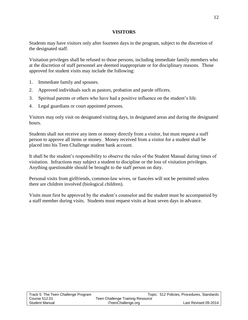#### **VISITORS**

Students may have visitors only after fourteen days in the program, subject to the discretion of the designated staff.

Visitation privileges shall be refused to those persons, including immediate family members who at the discretion of staff personnel are deemed inappropriate or for disciplinary reasons. Those approved for student visits may include the following:

- 1. Immediate family and spouses.
- 2. Approved individuals such as pastors, probation and parole officers.
- 3. Spiritual parents or others who have had a positive influence on the student's life.
- 4. Legal guardians or court appointed persons.

Visitors may only visit on designated visiting days, in designated areas and during the designated hours.

Students shall not receive any item or money directly from a visitor, but must request a staff person to approve all items or money. Money received from a visitor for a student shall be placed into his Teen Challenge student bank account.

It shall be the student's responsibility to observe the rules of the Student Manual during times of visitation. Infractions may subject a student to discipline or the loss of visitation privileges. Anything questionable should be brought to the staff person on duty.

Personal visits from girlfriends, common-law wives, or fiancées will not be permitted unless there are children involved (biological children).

Visits must first be approved by the student's counselor and the student must be accompanied by a staff member during visits. Students must request visits at least seven days in advance.